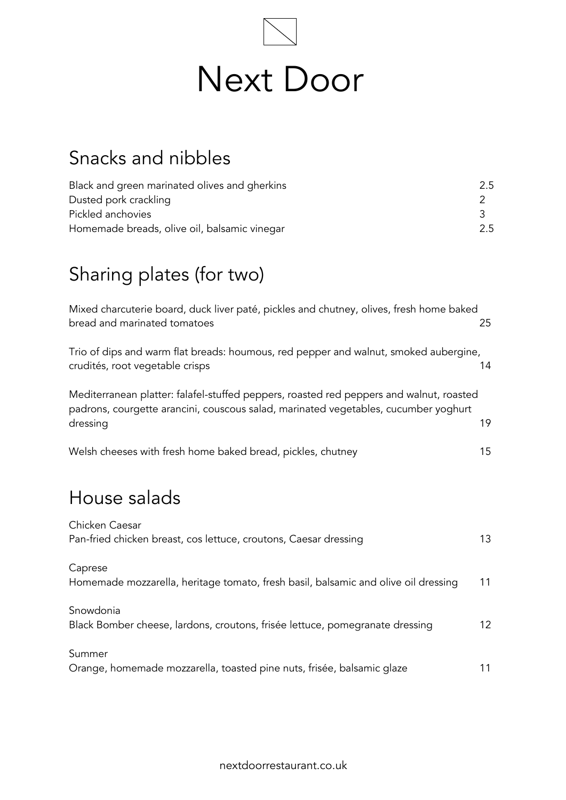

## Snacks and nibbles

| Black and green marinated olives and gherkins | 2.5 |
|-----------------------------------------------|-----|
| Dusted pork crackling                         |     |
| Pickled anchovies                             |     |
| Homemade breads, olive oil, balsamic vinegar  | 2.5 |

# Sharing plates (for two)

| Mixed charcuterie board, duck liver paté, pickles and chutney, olives, fresh home baked<br>bread and marinated tomatoes                                                                    | 25 |
|--------------------------------------------------------------------------------------------------------------------------------------------------------------------------------------------|----|
| Trio of dips and warm flat breads: houmous, red pepper and walnut, smoked aubergine,<br>crudités, root vegetable crisps                                                                    | 14 |
| Mediterranean platter: falafel-stuffed peppers, roasted red peppers and walnut, roasted<br>padrons, courgette arancini, couscous salad, marinated vegetables, cucumber yoghurt<br>dressing | 19 |
| Welsh cheeses with fresh home baked bread, pickles, chutney                                                                                                                                | 15 |
| House salads                                                                                                                                                                               |    |
| Chicken Caesar<br>Pan-fried chicken breast, cos lettuce, croutons, Caesar dressing                                                                                                         | 13 |
| Caprese<br>Homemade mozzarella, heritage tomato, fresh basil, balsamic and olive oil dressing                                                                                              | 11 |
| Snowdonia<br>Black Bomber cheese, lardons, croutons, frisée lettuce, pomegranate dressing                                                                                                  | 12 |
| Summer<br>Orange, homemade mozzarella, toasted pine nuts, frisée, balsamic glaze                                                                                                           | 11 |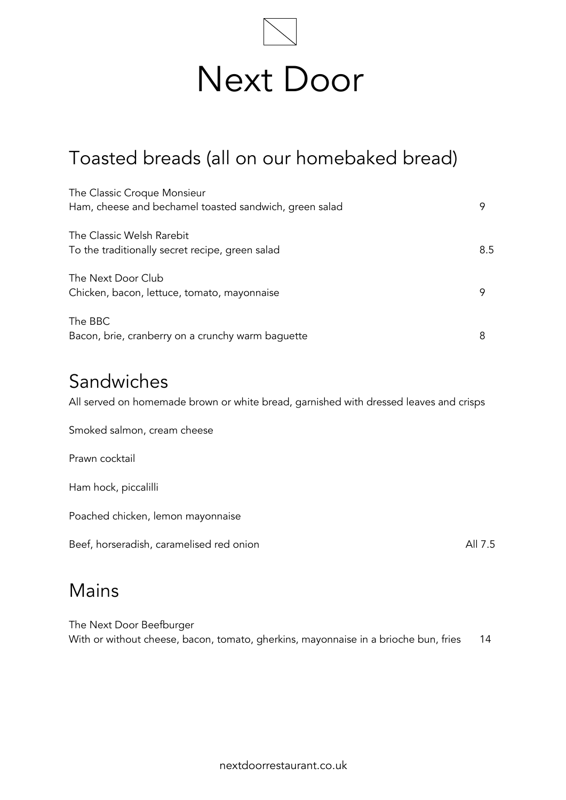

## Toasted breads (all on our homebaked bread)

| The Classic Croque Monsieur<br>Ham, cheese and bechamel toasted sandwich, green salad | 9   |
|---------------------------------------------------------------------------------------|-----|
| The Classic Welsh Rarebit<br>To the traditionally secret recipe, green salad          | 8.5 |
| The Next Door Club<br>Chicken, bacon, lettuce, tomato, mayonnaise                     | 9   |
| The BBC<br>Bacon, brie, cranberry on a crunchy warm baguette                          | 8   |

#### Sandwiches

All served on homemade brown or white bread, garnished with dressed leaves and crisps

Smoked salmon, cream cheese

Prawn cocktail

Ham hock, piccalilli

Poached chicken, lemon mayonnaise

Beef, horseradish, caramelised red onion and all 7.5

#### Mains

The Next Door Beefburger With or without cheese, bacon, tomato, gherkins, mayonnaise in a brioche bun, fries 14